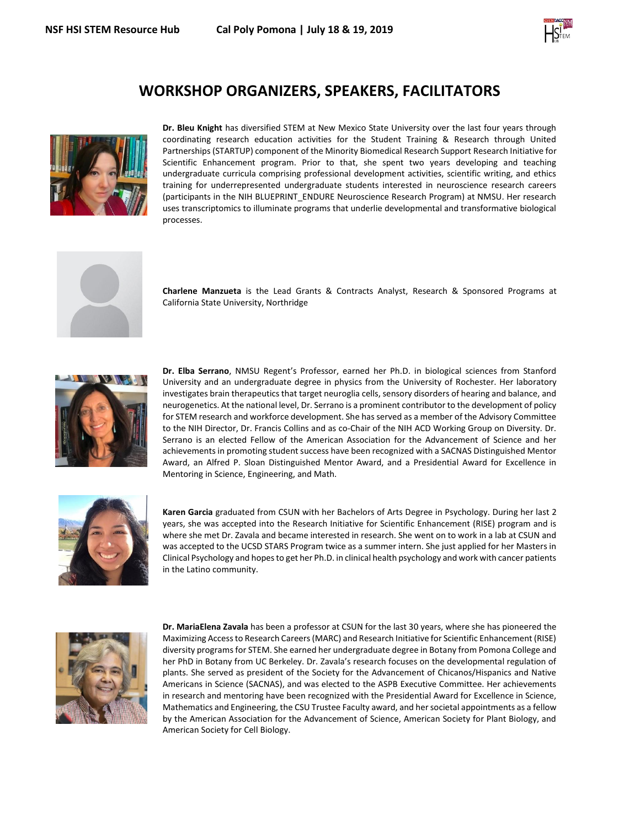

## **WORKSHOP ORGANIZERS, SPEAKERS, FACILITATORS**



**Dr. Bleu Knight** has diversified STEM at New Mexico State University over the last four years through coordinating research education activities for the Student Training & Research through United Partnerships (STARTUP) component of the Minority Biomedical Research Support Research Initiative for Scientific Enhancement program. Prior to that, she spent two years developing and teaching undergraduate curricula comprising professional development activities, scientific writing, and ethics training for underrepresented undergraduate students interested in neuroscience research careers (participants in the NIH BLUEPRINT\_ENDURE Neuroscience Research Program) at NMSU. Her research uses transcriptomics to illuminate programs that underlie developmental and transformative biological processes.



**Charlene Manzueta** is the Lead Grants & Contracts Analyst, Research & Sponsored Programs at California State University, Northridge



**Dr. Elba Serrano**, NMSU Regent's Professor, earned her Ph.D. in biological sciences from Stanford University and an undergraduate degree in physics from the University of Rochester. Her laboratory investigates brain therapeutics that target neuroglia cells, sensory disorders of hearing and balance, and neurogenetics. At the national level, Dr. Serrano is a prominent contributor to the development of policy for STEM research and workforce development. She has served as a member of the Advisory Committee to the NIH Director, Dr. Francis Collins and as co-Chair of the NIH ACD Working Group on Diversity. Dr. Serrano is an elected Fellow of the American Association for the Advancement of Science and her achievements in promoting student success have been recognized with a SACNAS Distinguished Mentor Award, an Alfred P. Sloan Distinguished Mentor Award, and a Presidential Award for Excellence in Mentoring in Science, Engineering, and Math.



**Karen Garcia** graduated from CSUN with her Bachelors of Arts Degree in Psychology. During her last 2 years, she was accepted into the Research Initiative for Scientific Enhancement (RISE) program and is where she met Dr. Zavala and became interested in research. She went on to work in a lab at CSUN and was accepted to the UCSD STARS Program twice as a summer intern. She just applied for her Masters in Clinical Psychology and hopes to get her Ph.D. in clinical health psychology and work with cancer patients in the Latino community.



**Dr. MariaElena Zavala** has been a professor at CSUN for the last 30 years, where she has pioneered the Maximizing Access to Research Careers (MARC) and Research Initiative for Scientific Enhancement (RISE) diversity programs for STEM. She earned her undergraduate degree in Botany from Pomona College and her PhD in Botany from UC Berkeley. Dr. Zavala's research focuses on the developmental regulation of plants. She served as president of the Society for the Advancement of Chicanos/Hispanics and Native Americans in Science (SACNAS), and was elected to the ASPB Executive Committee. Her achievements in research and mentoring have been recognized with the Presidential Award for Excellence in Science, Mathematics and Engineering, the CSU Trustee Faculty award, and her societal appointments as a fellow by the American Association for the Advancement of Science, American Society for Plant Biology, and American Society for Cell Biology.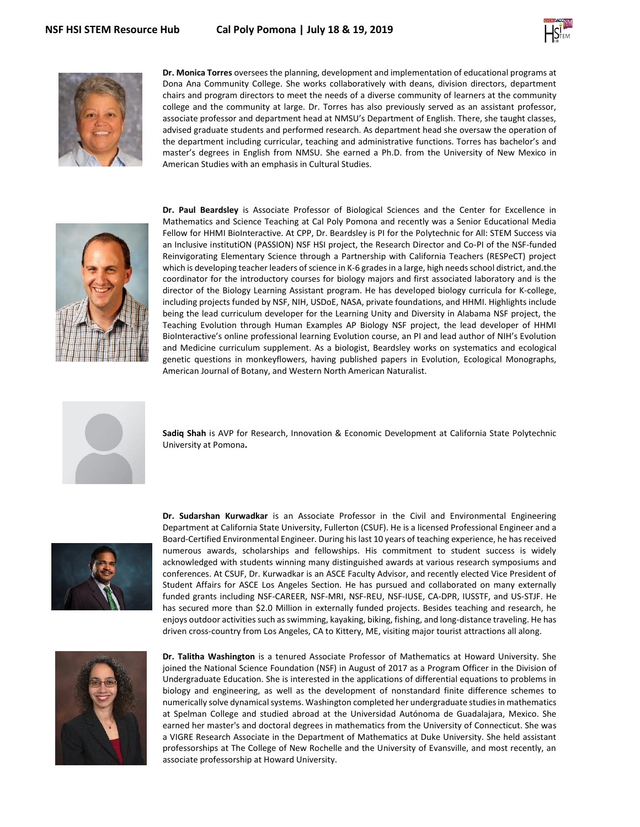



**Dr. Monica Torres** oversees the planning, development and implementation of educational programs at Dona Ana Community College. She works collaboratively with deans, division directors, department chairs and program directors to meet the needs of a diverse community of learners at the community college and the community at large. Dr. Torres has also previously served as an assistant professor, associate professor and department head at NMSU's Department of English. There, she taught classes, advised graduate students and performed research. As department head she oversaw the operation of the department including curricular, teaching and administrative functions. Torres has bachelor's and master's degrees in English from NMSU. She earned a Ph.D. from the University of New Mexico in American Studies with an emphasis in Cultural Studies.



**Dr. Paul Beardsley** is Associate Professor of Biological Sciences and the Center for Excellence in Mathematics and Science Teaching at Cal Poly Pomona and recently was a Senior Educational Media Fellow for HHMI BioInteractive. At CPP, Dr. Beardsley is PI for the Polytechnic for All: STEM Success via an Inclusive institutiON (PASSION) NSF HSI project, the Research Director and Co-PI of the NSF-funded Reinvigorating Elementary Science through a Partnership with California Teachers (RESPeCT) project which is developing teacher leaders of science in K-6 grades in a large, high needs school district, and.the coordinator for the introductory courses for biology majors and first associated laboratory and is the director of the Biology Learning Assistant program. He has developed biology curricula for K-college, including projects funded by NSF, NIH, USDoE, NASA, private foundations, and HHMI. Highlights include being the lead curriculum developer for the Learning Unity and Diversity in Alabama NSF project, the Teaching Evolution through Human Examples AP Biology NSF project, the lead developer of HHMI BioInteractive's online professional learning Evolution course, an PI and lead author of NIH's Evolution and Medicine curriculum supplement. As a biologist, Beardsley works on systematics and ecological genetic questions in monkeyflowers, having published papers in Evolution, Ecological Monographs, American Journal of Botany, and Western North American Naturalist.



**Sadiq Shah** is AVP for Research, Innovation & Economic Development at California State Polytechnic University at Pomona**.**



**Dr. Sudarshan Kurwadkar** is an Associate Professor in the Civil and Environmental Engineering Department at California State University, Fullerton (CSUF). He is a licensed Professional Engineer and a Board-Certified Environmental Engineer. During his last 10 years of teaching experience, he has received numerous awards, scholarships and fellowships. His commitment to student success is widely acknowledged with students winning many distinguished awards at various research symposiums and conferences. At CSUF, Dr. Kurwadkar is an ASCE Faculty Advisor, and recently elected Vice President of Student Affairs for ASCE Los Angeles Section. He has pursued and collaborated on many externally funded grants including NSF-CAREER, NSF-MRI, NSF-REU, NSF-IUSE, CA-DPR, IUSSTF, and US-STJF. He has secured more than \$2.0 Million in externally funded projects. Besides teaching and research, he enjoys outdoor activities such as swimming, kayaking, biking, fishing, and long-distance traveling. He has driven cross-country from Los Angeles, CA to Kittery, ME, visiting major tourist attractions all along.



**Dr. Talitha Washington** is a tenured Associate Professor of Mathematics at Howard University. She joined the National Science Foundation (NSF) in August of 2017 as a Program Officer in the Division of Undergraduate Education. She is interested in the applications of differential equations to problems in biology and engineering, as well as the development of nonstandard finite difference schemes to numerically solve dynamical systems. Washington completed her undergraduate studies in mathematics at Spelman College and studied abroad at the Universidad Autónoma de Guadalajara, Mexico. She earned her master's and doctoral degrees in mathematics from the University of Connecticut. She was a VIGRE Research Associate in the Department of Mathematics at Duke University. She held assistant professorships at The College of New Rochelle and the University of Evansville, and most recently, an associate professorship at Howard University.